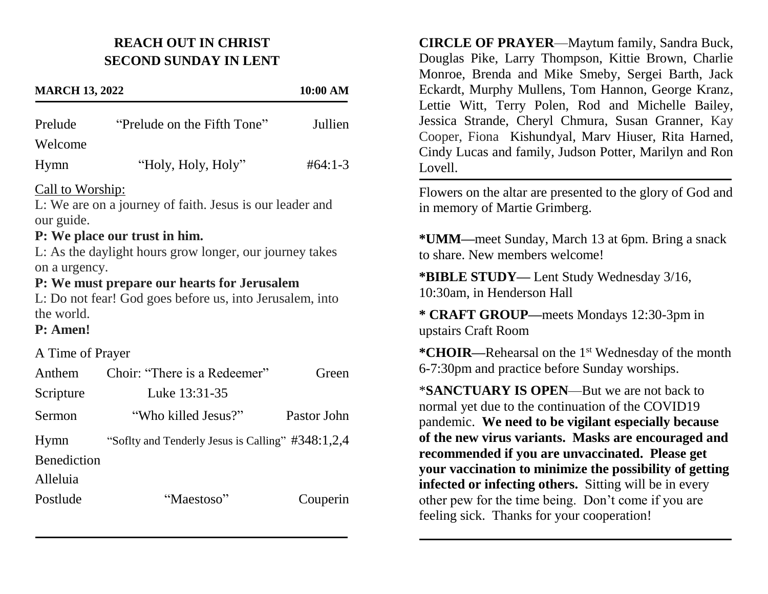## **REACH OUT IN CHRIST SECOND SUNDAY IN LENT**

## **MARCH 13, 2022 10:00 AM** Prelude "Prelude on the Fifth Tone" Jullien Welcome Hymn "Holy, Holy, Holy"  $#64:1-3$ Call to Worship: L: We are on a journey of faith. Jesus is our leader and our guide. **P: We place our trust in him.** L: As the daylight hours grow longer, our journey takes on a urgency. **P: We must prepare our hearts for Jerusalem** L: Do not fear! God goes before us, into Jerusalem, into the world. **P: Amen!** A Time of Prayer Anthem Choir: "There is a Redeemer" Green Scripture Luke 13:31-35 Sermon "Who killed Jesus?" Pastor John Hymn "Soflty and Tenderly Jesus is Calling" #348:1,2,4 **Benediction** Alleluia Postlude "Maestoso" Couperin

**CIRCLE OF PRAYER**—Maytum family, Sandra Buck, Douglas Pike, Larry Thompson, Kittie Brown, Charlie Monroe, Brenda and Mike Smeby, Sergei Barth, Jack Eckardt, Murphy Mullens, Tom Hannon, George Kranz, Lettie Witt, Terry Polen, Rod and Michelle Bailey, Jessica Strande, Cheryl Chmura, Susan Granner, Kay Cooper, Fiona Kishundyal, Marv Hiuser, Rita Harned, Cindy Lucas and family, Judson Potter, Marilyn and Ron Lovell.

Flowers on the altar are presented to the glory of God and in memory of Martie Grimberg.

**\*UMM—**meet Sunday, March 13 at 6pm. Bring a snack to share. New members welcome!

**\*BIBLE STUDY—** Lent Study Wednesday 3/16, 10:30am, in Henderson Hall

**\* CRAFT GROUP—**meets Mondays 12:30-3pm in upstairs Craft Room

**\*CHOIR—**Rehearsal on the 1st Wednesday of the month 6-7:30pm and practice before Sunday worships.

\***SANCTUARY IS OPEN**—But we are not back to normal yet due to the continuation of the COVID19 pandemic. **We need to be vigilant especially because of the new virus variants. Masks are encouraged and recommended if you are unvaccinated. Please get your vaccination to minimize the possibility of getting infected or infecting others.** Sitting will be in every other pew for the time being. Don't come if you are feeling sick. Thanks for your cooperation!